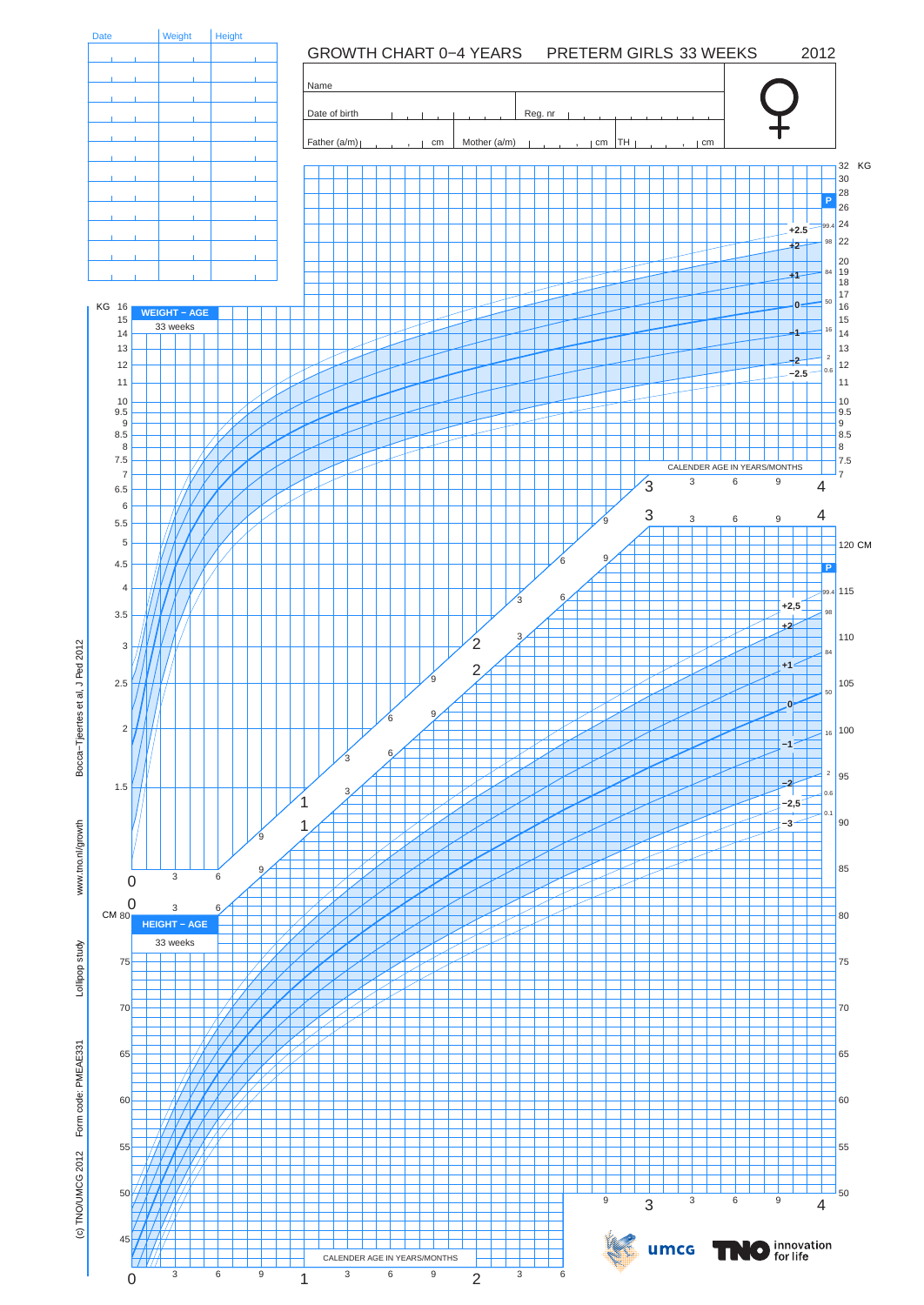